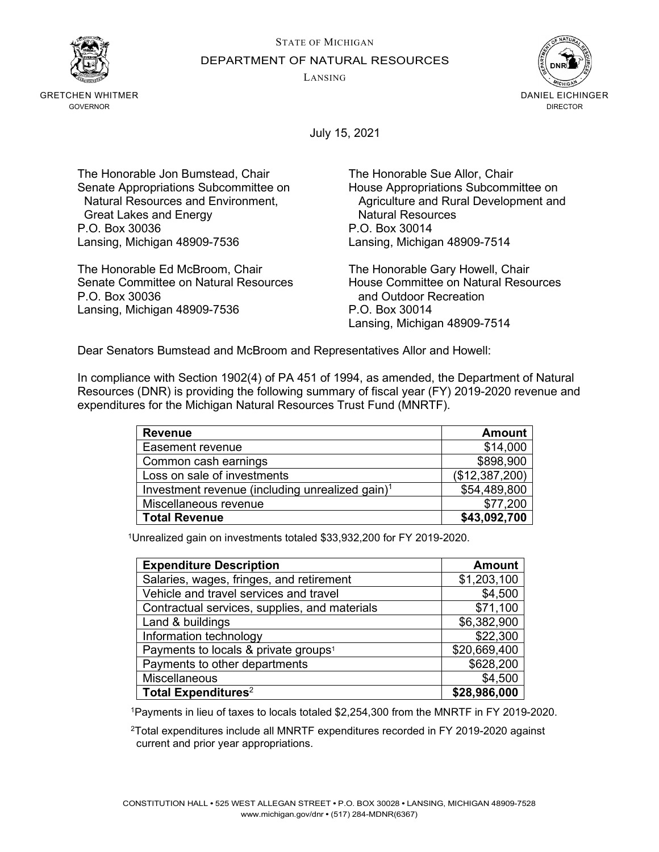STATE OF MICHIGAN DEPARTMENT OF NATURAL RESOURCES

LANSING



GRETCHEN WHITMER GOVERNOR



July 15, 2021

The Honorable Jon Bumstead, Chair The Honorable Sue Allor, Chair Senate Appropriations Subcommittee on Fouse Appropriations Subcommittee on<br>Natural Resources and Environment, Four Agriculture and Rural Development and Great Lakes and Energy P.O. Box 30036 P.O. Box 30014 Lansing, Michigan 48909-7536 Lansing, Michigan 48909-7514

The Honorable Ed McBroom, Chair The Honorable Gary Howell, Chair P.O. Box 30036 and Outdoor Recreation Lansing, Michigan 48909-7536 P.O. Box 30014

Agriculture and Rural Development and<br>Natural Resources

House Committee on Natural Resources Lansing, Michigan 48909-7514

Dear Senators Bumstead and McBroom and Representatives Allor and Howell:

In compliance with Section 1902(4) of PA 451 of 1994, as amended, the Department of Natural Resources (DNR) is providing the following summary of fiscal year (FY) 2019-2020 revenue and expenditures for the Michigan Natural Resources Trust Fund (MNRTF).

| <b>Revenue</b>                                              | <b>Amount</b>  |
|-------------------------------------------------------------|----------------|
| Easement revenue                                            | \$14,000       |
| Common cash earnings                                        | \$898,900      |
| Loss on sale of investments                                 | (\$12,387,200) |
| Investment revenue (including unrealized gain) <sup>1</sup> | \$54,489,800   |
| Miscellaneous revenue                                       | \$77,200       |
| <b>Total Revenue</b>                                        | \$43,092,700   |

1Unrealized gain on investments totaled \$33,932,200 for FY 2019-2020.

| <b>Expenditure Description</b>                   | Amount       |
|--------------------------------------------------|--------------|
| Salaries, wages, fringes, and retirement         | \$1,203,100  |
| Vehicle and travel services and travel           | \$4,500      |
| Contractual services, supplies, and materials    | \$71,100     |
| Land & buildings                                 | \$6,382,900  |
| Information technology                           | \$22,300     |
| Payments to locals & private groups <sup>1</sup> | \$20,669,400 |
| Payments to other departments                    | \$628,200    |
| Miscellaneous                                    | \$4,500      |
| Total Expenditures <sup>2</sup>                  | \$28,986,000 |

1Payments in lieu of taxes to locals totaled \$2,254,300 from the MNRTF in FY 2019-2020.

2Total expenditures include all MNRTF expenditures recorded in FY 2019-2020 against current and prior year appropriations.